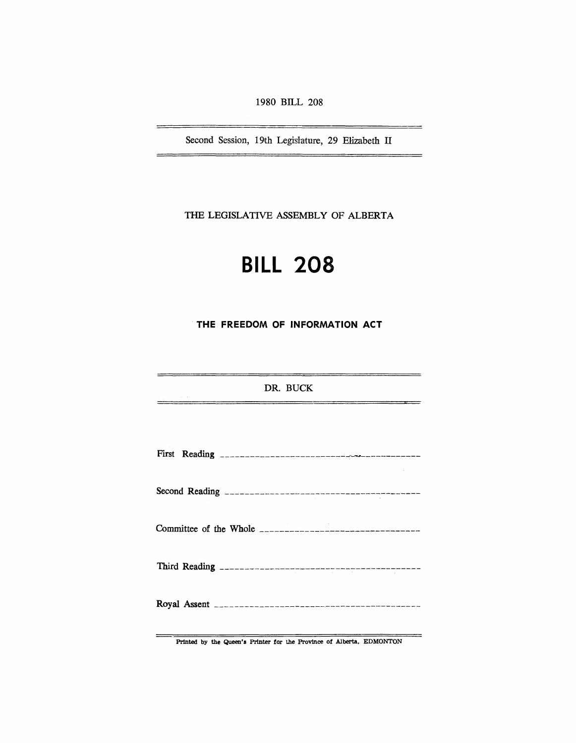1980 BILL 208

Second Session, 19th Legisfature, 29 Elizabeth II

THE LEGISLATIVE ASSEMBLY OF ALBERTA

# **BILL 208**

**THE FREEDOM OF INFORMATION ACT** 

DR. BUCK

Printed by the Queen's Printer for the Province of Alberta, EDMONTON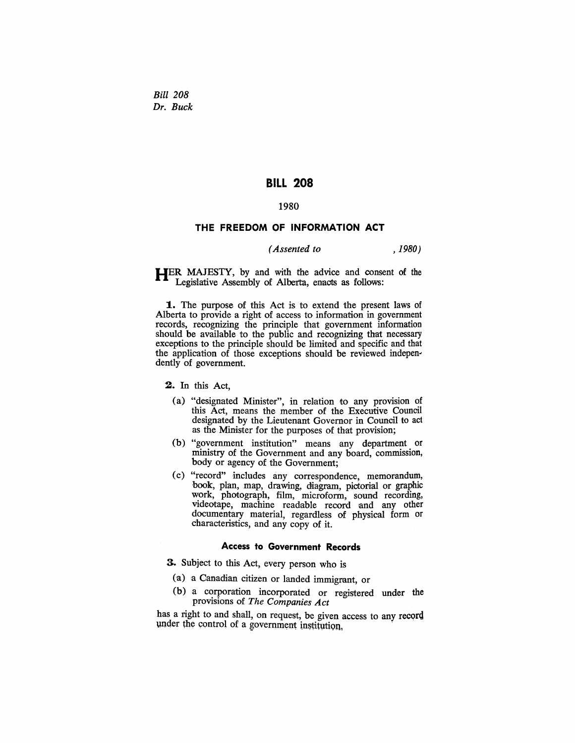*Bill 208 Dr. Buck* 

# BILL 208

## 1980

### THE FREEDOM OF INFORMATION ACT

# *(Assented to ,1980)*

HER MAJESTY, by and with the advice and consent of the Legislative Assembly of Alberta, enacts as follows:

1. The purpose of this Act is to extend the present laws of Alberta to provide a right of access to information in government records, recognizing the principle that government information should be available to the public and recognizing that necessary exceptions to the principle should be limited and specific and that the application of those exceptions should be reviewed independently of government.

2. In this Act,

- (a) "designated Minister", in relation to any provision of this Act, means the member of the Executive Council designated by the Lieutenant Governor in Council to act as the Minister for the purposes of that provision;
- (b) "government institution" means any department or ministry of the Government and any board, commission, body or agency of the Government;
- (c) "record" includes any correspondence, memorandum, hook, plan, map, drawing, diagram, pictorial or graphic work, photograph, film, microform, sound recording, videotape, machine readable record and any other documentary material, regardless of physical form or characteristics, and any copy of it.

## Access to Government Records

3. Subject to this Act, every person who is

- (a) a Canadian citizen or landed immigrant, or
- (b) a corporation incorporated or registered under the provisions of *The Companies Act*

has a right to and shall, on request, be given access to any record under the control of a government institution.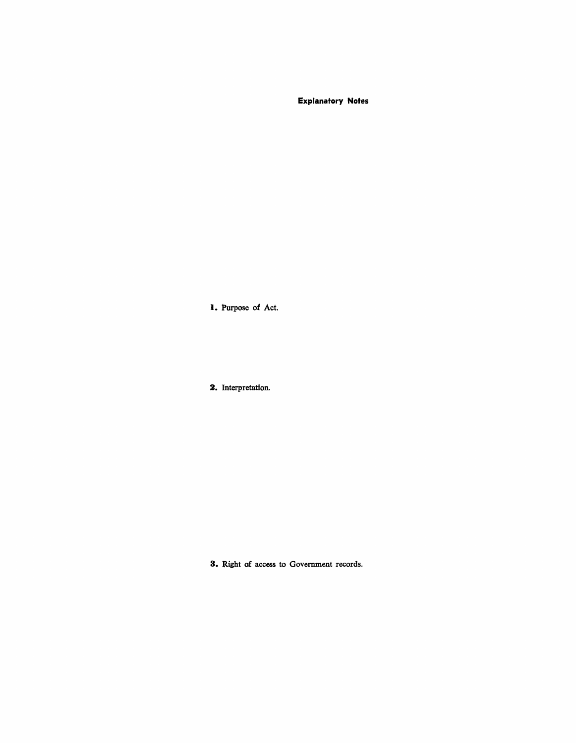**Explanatory Notes** 

**I.** Purpose of Act.

**2.** Interpretation.

**3.** Right of access to Government records.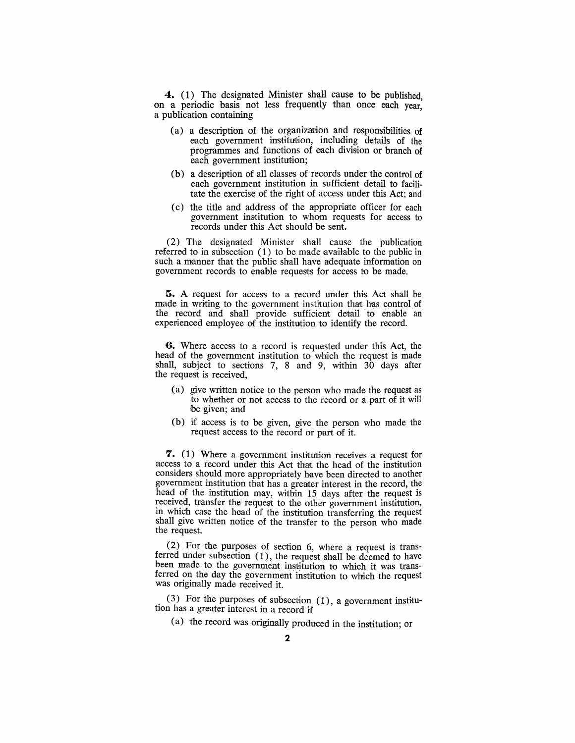**4.** (1) The designated Minister shall cause to be published, on a periodic basis not less frequently than once each year, a publication containing

- (a) a description of the organization and responsibilities of each government institution, including details of the programmes and functions of each division or branch of each government institution;
- (b) a description of all classes of records under the control of each government institution in sufficient detail to facilitate the exercise of the right of access under this Act; and
- (c) the title and address of the appropriate officer for each government institution to whom requests for access to records under this Act should be sent.

(2) The designated Minister shall cause the publication referred to in subsection  $(1)$  to be made available to the public in such a manner that the public shall have adequate information on government records to enable requests for access to be made.

5. A request for access to a record under this Act shall be made in writing to the government institution that has control of the record and shaH provide sufficient detail to enable an experienced employee of the institution to identify the record.

**6.** Where access to a record is requested under this Act, the head of the government institution to which the request is made shall, subject to sections 7, 8 and 9, within 30 days after the request is received,

- (a) give written notice to the person who made the request as to whether or not access to the record or a part of it will be given; and
- (b) if access is to be given, give the person who made the request access to the record or part of it.

**7.** (1) Where a government institution receives a request for access to a record under this Act that the head of the institution considers should more appropriately have been directed to another government institution that has a greater interest in the record, the head of the institution may, within 15 days after the request is received, transfer the request to the other government institution, in which case the head of the institution transferring the request shall give written notice of the transfer to the person who made the request.

(2) For the purposes of section 6, where a request is transferred under subsection (1), the request shall be deemed to have been made to the government institution to which it was transferred on the day the government institution to which the request was originally made received it.

 $(3)$  For the purposes of subsection  $(1)$ , a government institution has a greater mterest in a record if

(a) the record was originally produced in the institution; or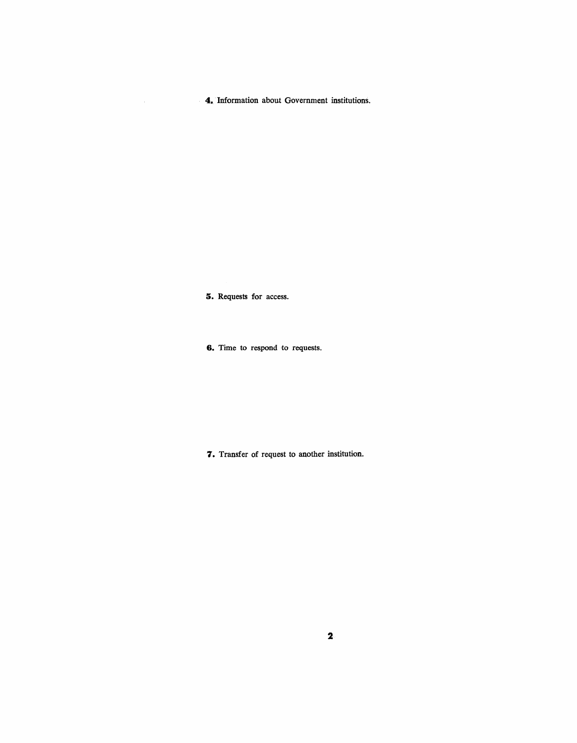**4.** Information about Government institutions.

**5.** Requests for access.

**6.** Time to respond to requests.

7. Transfer of request to another institution.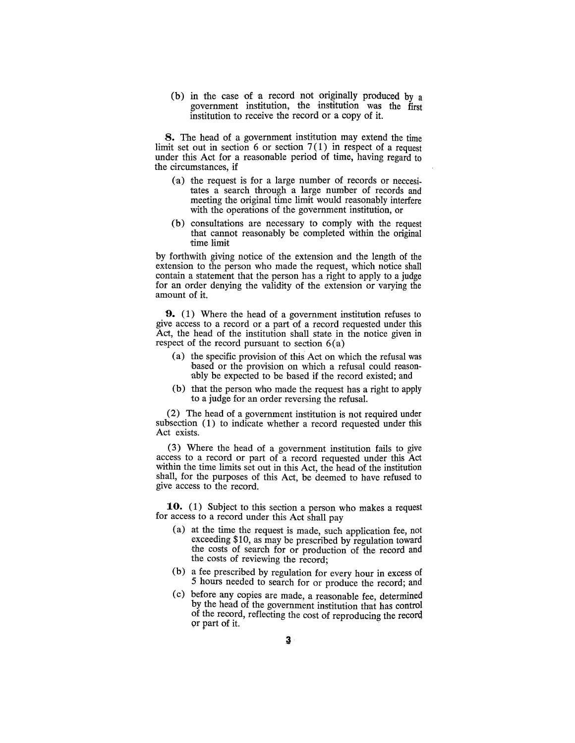(b) in the case of a record not originally produced by a government institution, the institution was the first institution to receive the record or a copy of it.

**8.** The head of a government institution may extend the time limit set out in section 6 or section  $7(1)$  in respect of a request under this Act for a reasonable period of time, having regard to the circumstances, if

- (a) the request is for a large number of records or neccesitates a search through a large number of records and meeting the original time limit would reasonably interfere with the operations of the government institution, or
- $(b)$  consultations are necessary to comply with the request that cannot reasonahly be completed within the original time limit

by forthwith giving notice of the extension and the length of the extension to the person who made the request, which notice shall contain a statement that the person has a right to apply to a judge for an order denying the validity of the extension or varying the amount of it.

**'9.** ( 1) Where the head of a government institution refuses to give access to a record or a part of a reoord requested under this Act, the head of the institution shall state in the notice given in respect of the record pursuant to section 6(a)

- (a) the specific provision of this' Act on which the refusal was based or the provision on which a refusal could reason ably be expected to be based if the record existed; and
- (b) that the person who made the request has a right to apply to a judge for an order reversing the refusal.

(2) The head of a government institution is not required under subsection (1) to indicate whether a record requested under this Act exists.

(3) Where the head of a government institution fails to give access to a record or part of a record requested under this Act within the time limits set out in this Act, the head of the institution shall, for the purposes of this Act, be deemed to have refused to give access to the record.

10. (1) Subject to this section a person who makes a request for access to a record under this Act shall pay

- (a) at the time the request is made, such application fee, not exceeding \$10, as may be prescribed by regulation toward the costs of search for or production of the record and the costs of reviewing the record;
- (b) a fee prescribed by regulation for every hour in excess of 5 hours needed to search for or produce the record; and
- (c) before any copies are made, a reasonable fee, determined by the head of the government institution that has control of the record, reflecting the cost of reproducing the record  $\alpha$  part of it.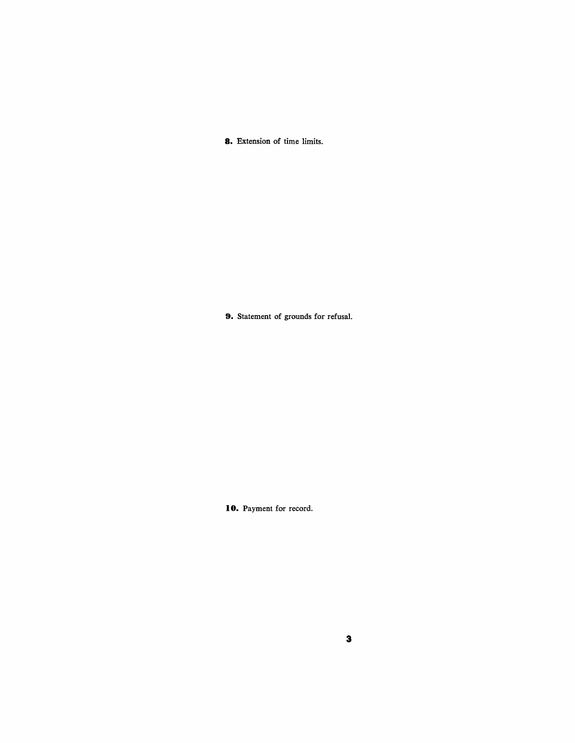**8.** Extension of time limits.

**9.** Statement of grounds for refusal.

**10.** Payment for record.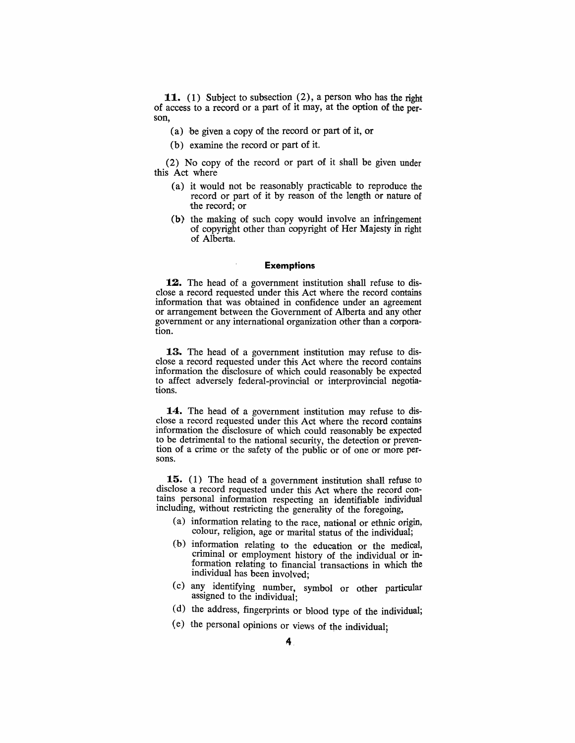**11.** (1) Subject to subsection (2), a person who has the right of access to a record or a part of it may, at the option of the person,

- (a) be given a copy of the reoord or part of it, or
- (b) examine the record or part of it.

(2) No copy of the record or part of it shall be given under this Act where

- (a) it would not be reasonably practicable to reproduce the record or part of it by reason of the length or nature of the record; or
- (b) the making of such copy would involve an infringement 'Of copyright other than copyright of Her Majesty in right of Alberta.

#### **Exemptions**

**12.** The head of a government institution shall refuse to disclose a record requested under this Act where the record contains information that was obtained in confidence under an agreement or arrangement between the Government of Alberta and any other government or any international organization other than a corporation.

13. The head of a government institution may refuse to disclose a record requested under this Act where the record contains information the disclosure of which could reasonably be expected to affect adversely federal-provincial or interprovincial negotiations.

**14.** The head of a government institution may refuse to disclose a record requested under this Act where the record contains information the disclosure of which could reasonably be expected to be detrimental to the national security, the detection or prevention of a crime or the safety of the public or of one or more persons.

**15.** (1) The head of a government institution shall refuse to disclose a record requested under this Act where the record contains personal information respecting an identifiable individual including, without restricting the generality of the foregoing,

- (a) information relating to the race, national or ethnic origin, colour, religion, age or marital status of the individual;
- (b) information relating to the education or the medical, 'criminal or employment history of the individual or information relating to financial transactions in which the individual has been involved;
- (c) any identifying number, symbol or other particular assigned to the individual; marviaual has been involved;<br>
(c) any identifying number, symbol or other particu<br>
assigned to the individual;<br>
(d) the address, fingerprints or blood type of the individual;<br>
(e) the personal opinions or views of the indi
- ( d) the address, fingerprints or blood type of the individual;
-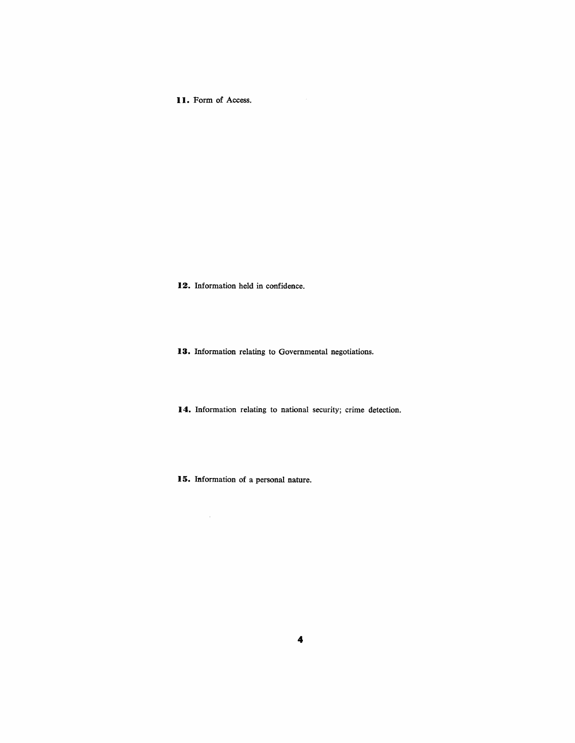**I I.** Form of Access.

12. Information held in confidence.

**13.** Information relating to Governmental negotiations.

**14.** Information relating to national security; crime detection.

**15.** Information of a personal nature.

 $\mathcal{A}^{\mathcal{A}}$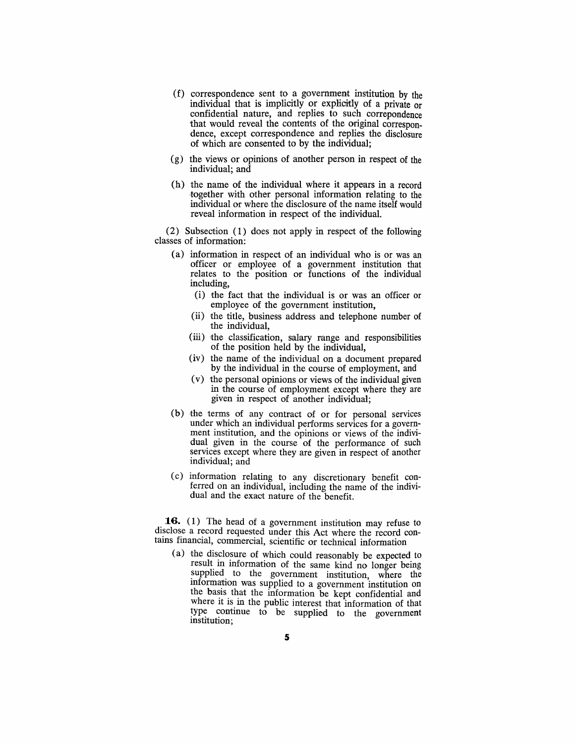- $(f)$  correspondence sent to a government institution by the individual that is implicitly or explicitly of a private or confidential nature, and replies to such correpondence that would reveal the contents of the original correspondence, except correspondence and replies the disclosure *'Of* which are consented to by the individual;
- (g) the views or opinions of another person in respect of the individual; and
- $(h)$  the name of the individual where it appears in a record together with other personal information relating to the individual or where the disclosure of the name itself would reveal information in respect of the individual.

(2) Subsection (1) does not apply in respect *'Of* the following classes of information:

- (a) information in respect of an individual who is or was an officer or employee of a government institution that relates to the position or functions of the individual including,
	- (i) the fact that the individual is or was an officer or employee of the government institution,
	- (ii) the title, business address and telephone number of the individual,
	- (iii) the classification, salary range and responsibilities of the position held by the individual,
	- (iv) the name of the individual on a document prepared by the individual in the course of employment, and
	- $(v)$  the personal opinions or views of the individual given in the course of employment except where they are given in respect of another individual;
- $(b)$  the terms of any contract of or for personal services under which an individual performs services for a government institution, and the opinions or views of the individual given in the course of the performance of such services except where they are given in respect of another individual; and
- (c) information relating to any discretionary benefit conferred on an individual, including the name of the individual and the exact nature of the benefit.

**16.** (1) The head of a government institution may refuse to disclose a record requested under this Act where the record contains financial, commercial, scientific or technical information

(a) the disclosure of which could reasonably be expected to result in information of the same kind no longer being supplied to the government institution, where the information was supplied to a government institution on the basis that the information be kept confidential and where it is in the public interest that information of that type continue to be supplied to the government institution;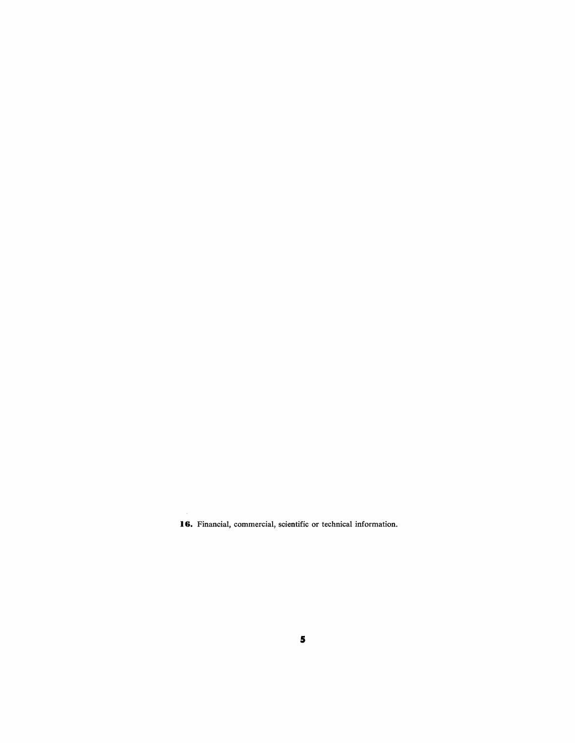**16.** Financial, commercial, scientific or technical information.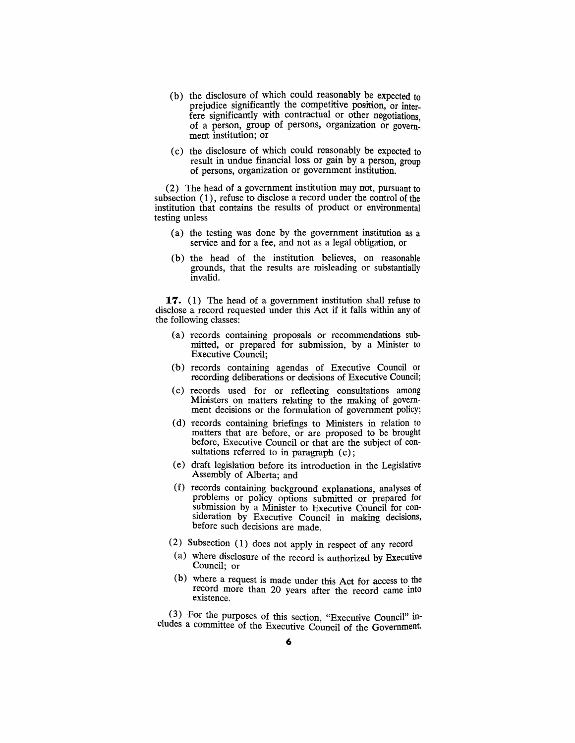- (b) the disclosure of which could reasonably be expected to prejudice significantly the competitive position, or interfere significantly with contractual or other negotiations. of a person, group of persons, organization or government institution; or
- ( c) the disclosure of which could reasonably be expected to result in undue financial loss or gain by a person, group of persons, organization or government institution.

(2) The head of a government institution may not, pursuant to subsection (1), refuse to disclose a record under the control of the institution that contains the results of product or environmental testing unless

- (a) the testing was done by the government institution as a service and for a fee, and not as a legal obligation, or
- (b) the head of the institution believes, on reasonable grounds, that the results are misleading or substantially invalid.

**17.** (1) The head of a government institution shall refuse to disclose a record requested under this Act if it falls within any of the following dasses:

- (a) records containing proposals or recommendations submitted, or prepared for submission, by a Minister to Executive Oouncil;
- (b) reoords containing agendas of Executive Counoil or recording deliberations or decisions of Executive Council;
- (c) records used for or reflecting consultations among Ministers on matters relating to the making of government decisions or the formulation of government policy;
- (d) records containing briefings to Ministers in relation to matters that are before, or are proposed to be brought before, Executive Council or that are the subject of consultations referred to in paragraph (c);
- (e) draft legislation before its introduction in the Legislative Assembly of Alberta; and
- (f) records containing background explanations, analyses of problems or policy options submitted or prepared for submission by a Minister to Executive Council for consideration by Executive Council in making decisions, before such decisions are made.
- (2) Subsection (1) does not apply in respect of any record
- $(a)$  where disclosure of the record is authorized by Executive Council; or
- (b) where a request is made under this Act for access to the record more than 20 years after the record came into eXIstence.

 $(3)$  For the purposes of this section, "Executive Council" includes a committee of the Executive Council of the Government.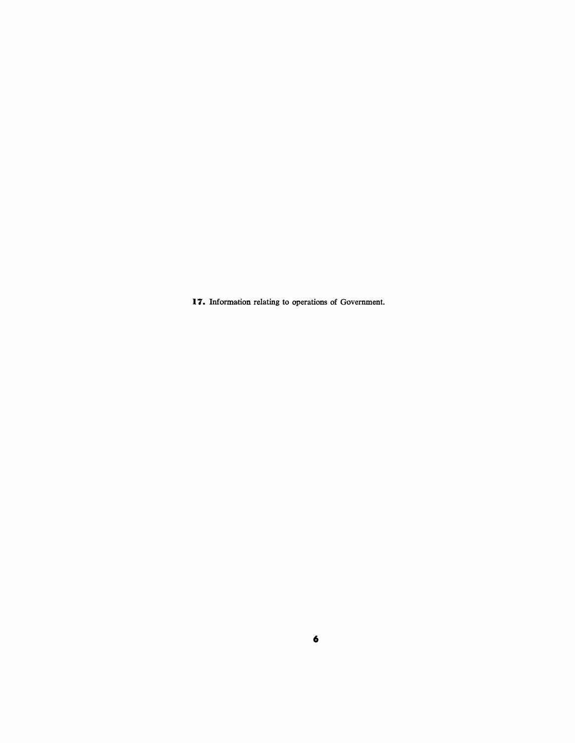**17.** Information relating to operations of Government.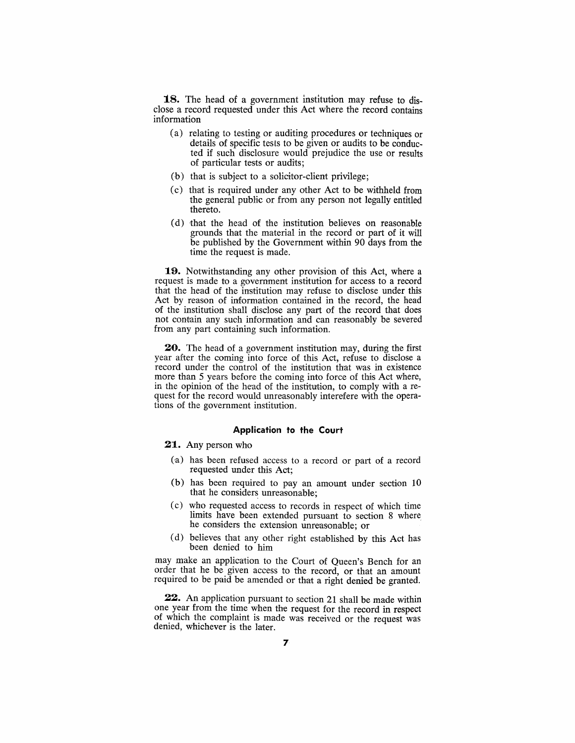**18.** The head of a government institution may refuse to disclose a record requested under this Act where the record contains information

- (a) relating to testing or auditing procedures or techniques or details of specific tests to be given or audits to be conducted if such disclosure would prejudice the use or results of particular tests or audits;
- (b) that is subject to a solicitor-client privilege;
- (c) that is required under any other Act to be withheld from the general public or from any person not legally entitled thereto.
- (d) that the head of the institution believes on reasonable grounds that the material in the record or part of it will be published by the Government within 90 days from the time the request is made.

**19.** Notwithstanding any other provision of this Act, where a request is made to a government institution for access to a record that the head of the institution may refuse to disdose under this Act by reason of information contained in the record, the head of the institution shall disclose any part of the record that does not contain any such information and can reasonably be severed from any part containing such information.

**20.** The head of a government institution may, during the first year after the coming into force of this Act, refuse to disclose a record under the control of the institution that was in existence more than 5 years before the coming into force of this Act where, in the opinion of the head of the institution, to comply with a request for the record would unreasonably interefere with the operations of the government institution.

#### **Application to the Court**

**21.** Any person who

- (a) has been refused access to a record or part of a record requested under this Act;
- (b) has been required to pay an amount under section 10 that he considers unreasonable;
- (c) who requested access to records in respect of which time limits have been extended pursuant to section 8 where he considers the extension unreasonable; or
- (d) believes that any other right established by this Act has been denied to him

may make an application to the Court of Queen's Bench for an order that he be given access to the record, or that an amount required to be paid be amended or that a right denied be granted.

**22.** An application pursuant to section 21 shall be made within one year from the time when the request for the record in respect of which the complaint is made was received or the request was denied, whichever is the later.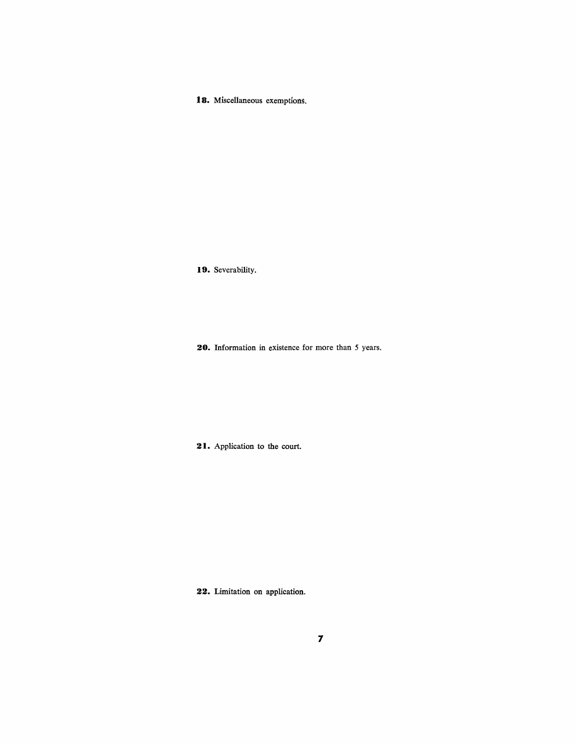18. Miscellaneous exemptions.

**19.** Severability.

**20.** Information in existence for more than 5 years.

<sup>2</sup>I. Application to the court.

**22.** Limitation on application.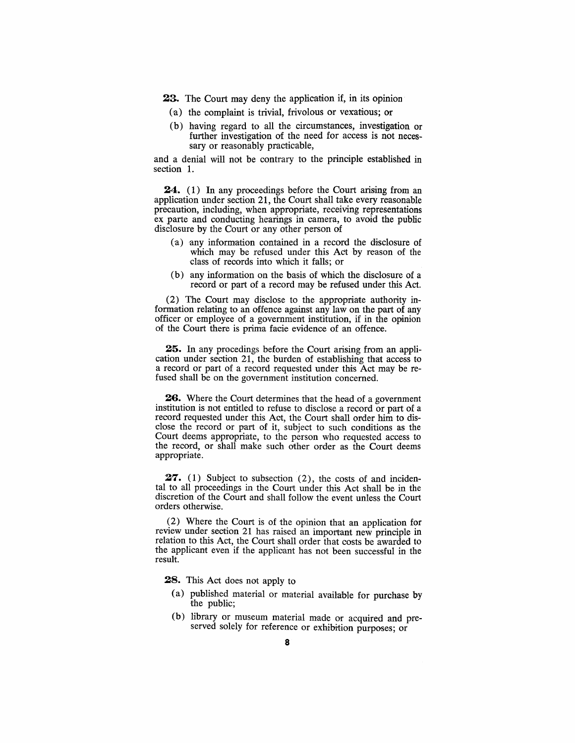23. The Court may deny the application if, in its opinion

- (a) the complaint is trivial, frivolous or vexatious; or
- (b) having regard to all the circumstances, investigation or further investigation of the need for access is not necessary or reasonably practicable,

and a denial will not be contrary to the principle established in section 1.

**24.** (1) In any proceedings before the Court arising from an application under section 21, the Court shall take every reasonable precaution, including, when appropriate, receiving representations ex parte and conducting hearings in camera, to avoid the public disclosure by the Court or any other person of

- $(a)$  any information contained in a record the disclosure of which may be refused under this Act by reason of the class of reoords into which it falls; or
- (b) any information on the basis of which the disclosure of a record or part of a record may be refused under this Act.

 $(2)$  The Court may disclose to the appropriate authority information relating to an offence against any law on the part of any officer or employee of a government institution, if in the opinion of the Court there is prima facie evidence of an offence.

25. In any procedings before the Court arising from an application under section 21, the burden of establishing that access to a record or part of a record requested under this Act may be refused shall be on the government institution concerned.

**26.** Where the Court determines that the head of a government institution is not entitled to refuse to disclose a record or part of a record requested under this Act, the Court shall order him to disclose the record or part of it, subject to such conditions as the Court deems appropriate, to the person who requested access to the record, or shall make such other order as the Court deems appropriate.

**27.** (1) Subject to subsection  $(2)$ , the costs of and incidental to all proceedings in the Court under this Act shall be in the discretion of the Court and shall follow the event unless the Court orders otherwise.

(2) Where the Court is of the opinion that an applioation for review under section 21 has raised an important new principle in relation to this Act, the Court shall order that costs be awarded to the applicant even if the applicant has not been successful in the result.

**28.** This Act does not apply to

- (a) published material or material available for purchase by the public;
- (b) library or museum material made or acquired and preserved solely for reference or exhibition purposes; or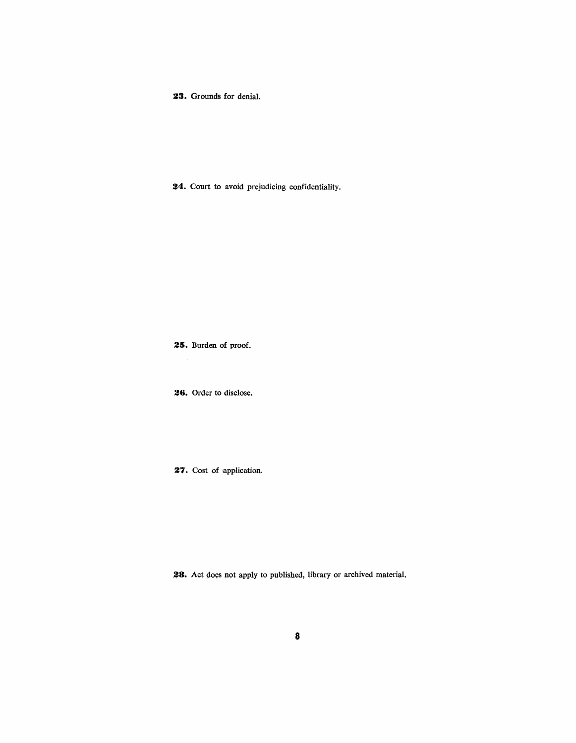**23.** Grounds for denial.

**24.** Court to avoid prejudicing confidentiality.

**25.** Burden of proof.

**26.** Order to disclose.

27. Cost of application.

**3.8.** Act does not apply to published, library or archived material.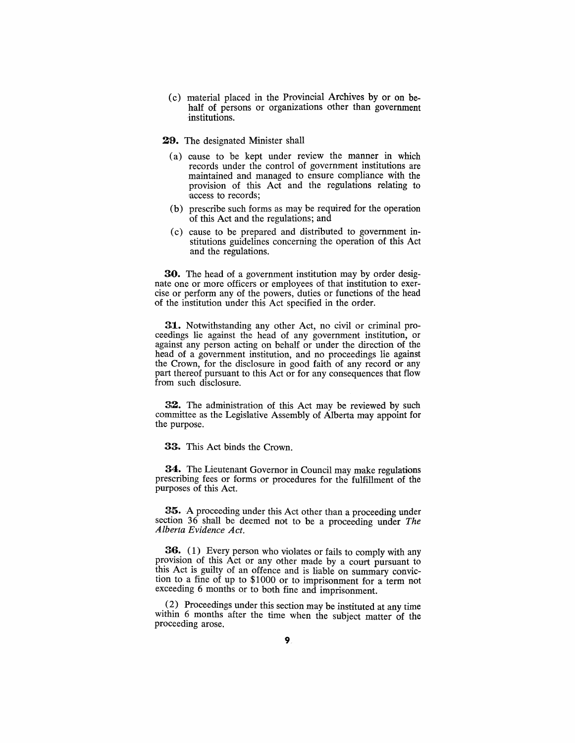- (c) material placed in the Provincial Archives by or on behalf of persons or organizations other than government institutions.
- 29. The designated Minister shall
	- (a) oause to be kept under review the manner in which records under the control of government institutions are maintained and managed to ensure compliance with the provision of this Act and the regulations relating to laccess to records;
	- (b) prescribe such forms as may be required for the operation of this Aot and the regulations; and
	- (c) cause to be prepared and distributed to government institutions guidelines concerning the operation of this Act and the regulations.

30. The head of a government institution may by order designate one or more officers or employees of that institution to exercise or perform any of the powers, duties or functions of the head of the institution under this Act speciflied in the order.

31. Notwithstanding any other Act, no civil or criminal proceedings lie against the head of any government institution, or against any person acting on behalf or under the direction of the head of a government institution, and no proceedings lie against the Crown, for the disclosure in good faith of any record or any part thereof pursuant to this Act or for any consequences that flow from such disclosure.

**32.** The administration of this Act may be reviewed by such committee as the Legislative Assembly of Alberta may appoint for the purpose.

33. This Act binds the Crown.

34. The Lieutenant Governor in Council may make regulations prescribing fees or forms or procedures for the fulfillment of the purposes of this Act.

35. A proceeding under this Act other than a proceeding under section 36 shall be deemed not to be a proceeding under *The Alberta Evidence Act.* 

**36.** (1) Every person who violates or fails to comply with any provision of this Act or any other made by a court pursuant to this Act is guilty of an offence and is liable on summary conviction to a fine of up to \$1000 or to imprisonment for a term not exceeding 6 months or to both fine and imprisonment.

 $(2)$  Proceedings under this section may be instituted at any time within 6 months after the time when the subject matter of the proceeding arose.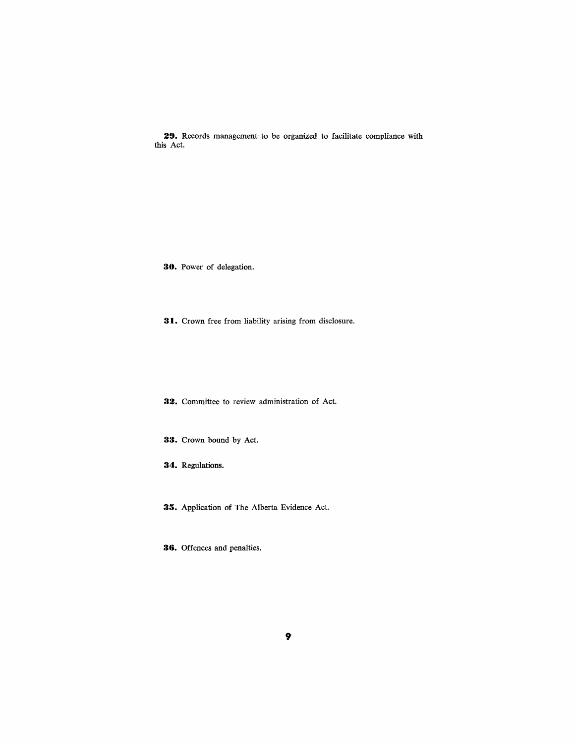**29.** Records management to be organized to facilitate oompliance with this Act.

**30.** Power of delegation.

**31.** Crown free from liability arising from disclosure.

**32.** Committee to review administration of Act.

**33.** Crown bound by Act.

**34.** Regulations.

**35.** Application of The Alberta Evidence Act.

**36.** Offences and penalties.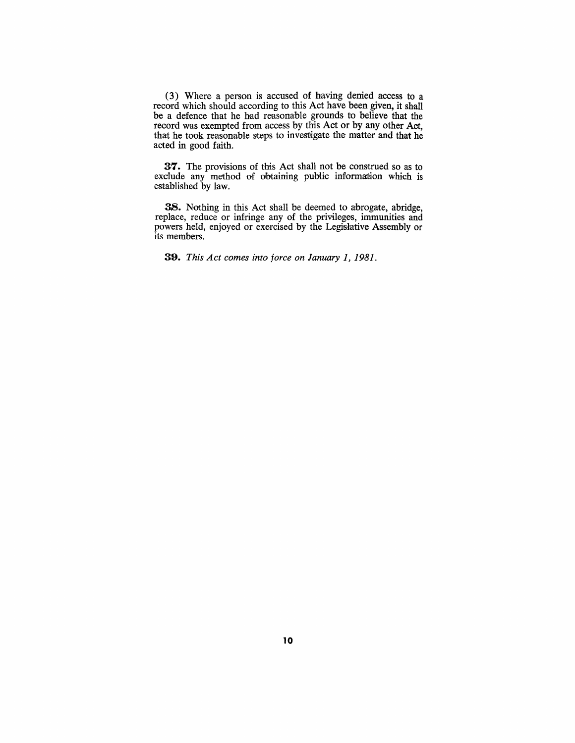(3) Where a person is accused of having denied access to a record which should according to this Act have been given, it shall be a defence that he had reasonable grounds to believe that the record was exempted from access by this Act or by any other Act, that he took reasonable steps to investigate the matter and that he acted in good faith.

37. The provisions of this Act shall not be construed so as to exclude any method of obtaining public information which is established by law.

**38.** Nothing in this Act shall be deemed to abrogate, abridge, replace, reduce or infringe any of the privileges, immunities and powers held, enjoyed or exercised by the Legislative Assembly or its members.

**a:9.** *This Act comes into force on January* 1, 1981.